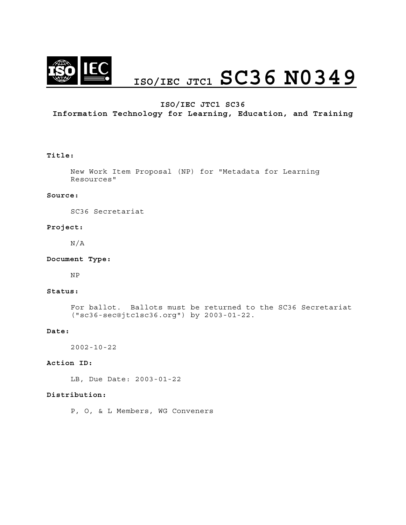

# **ISO/IEC JTC1 SC36 N0349**

## **ISO/IEC JTC1 SC36**

# **Information Technology for Learning, Education, and Training**

#### **Title:**

New Work Item Proposal (NP) for "Metadata for Learning Resources"

#### **Source:**

SC36 Secretariat

#### **Project:**

N/A

#### **Document Type:**

NP

#### **Status:**

For ballot. Ballots must be returned to the SC36 Secretariat ("sc36-sec@jtc1sc36.org") by 2003-01-22.

#### **Date:**

2002-10-22

#### **Action ID:**

LB, Due Date: 2003-01-22

#### **Distribution:**

P, O, & L Members, WG Conveners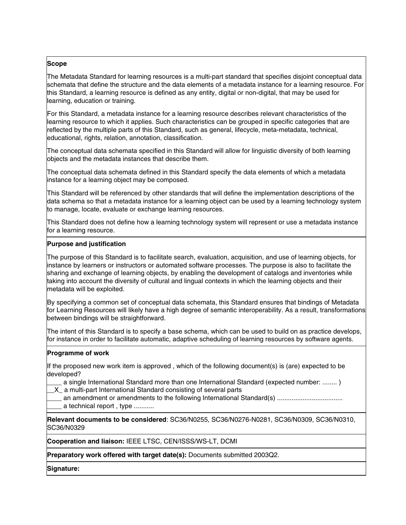# **Scope**

The Metadata Standard for learning resources is a multi-part standard that specifies disjoint conceptual data schemata that define the structure and the data elements of a metadata instance for a learning resource. For this Standard, a learning resource is defined as any entity, digital or non-digital, that may be used for learning, education or training.

For this Standard, a metadata instance for a learning resource describes relevant characteristics of the learning resource to which it applies. Such characteristics can be grouped in specific categories that are reflected by the multiple parts of this Standard, such as general, lifecycle, meta-metadata, technical, educational, rights, relation, annotation, classification.

The conceptual data schemata specified in this Standard will allow for linguistic diversity of both learning objects and the metadata instances that describe them.

The conceptual data schemata defined in this Standard specify the data elements of which a metadata instance for a learning object may be composed.

This Standard will be referenced by other standards that will define the implementation descriptions of the data schema so that a metadata instance for a learning object can be used by a learning technology system to manage, locate, evaluate or exchange learning resources.

This Standard does not define how a learning technology system will represent or use a metadata instance for a learning resource.

#### **Purpose and justification**

The purpose of this Standard is to facilitate search, evaluation, acquisition, and use of learning objects, for instance by learners or instructors or automated software processes. The purpose is also to facilitate the sharing and exchange of learning objects, by enabling the development of catalogs and inventories while taking into account the diversity of cultural and lingual contexts in which the learning objects and their metadata will be exploited.

By specifying a common set of conceptual data schemata, this Standard ensures that bindings of Metadata for Learning Resources will likely have a high degree of semantic interoperability. As a result, transformations between bindings will be straightforward.

The intent of this Standard is to specify a base schema, which can be used to build on as practice develops, for instance in order to facilitate automatic, adaptive scheduling of learning resources by software agents.

#### **Programme of work**

If the proposed new work item is approved , which of the following document(s) is (are) expected to be developed?

\_\_\_\_ a single International Standard more than one International Standard (expected number: ........ )

X a multi-part International Standard consisting of several parts

\_\_\_\_ an amendment or amendments to the following International Standard(s) .................................... a technical report, type ...........

**Relevant documents to be considered**: SC36/N0255, SC36/N0276-N0281, SC36/N0309, SC36/N0310, SC36/N0329

**Cooperation and liaison:** IEEE LTSC, CEN/ISSS/WS-LT, DCMI

**Preparatory work offered with target date(s):** Documents submitted 2003Q2.

**Signature:**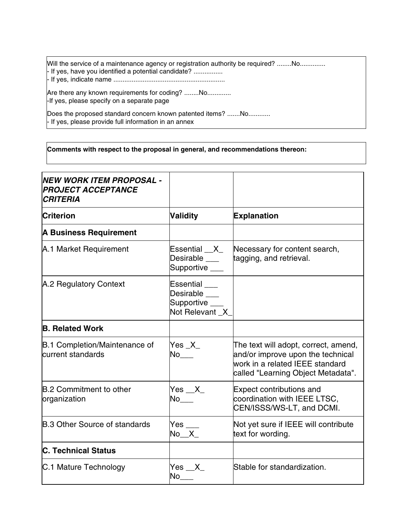Will the service of a maintenance agency or registration authority be required? ........No.............. - If yes, have you identified a potential candidate? ................ - If yes, indicate name .............................................................

Are there any known requirements for coding? ........No.............. -If yes, please specify on a separate page

Does the proposed standard concern known patented items? .......No............ - If yes, please provide full information in an annex

## **Comments with respect to the proposal in general, and recommendations thereon:**

| NEW WORK ITEM PROPOSAL -<br><b>PROJECT ACCEPTANCE</b><br><b>CRITERIA</b> |                                                            |                                                                                                                                                    |
|--------------------------------------------------------------------------|------------------------------------------------------------|----------------------------------------------------------------------------------------------------------------------------------------------------|
| <b>Criterion</b>                                                         | Validity                                                   | <b>Explanation</b>                                                                                                                                 |
| <b>A Business Requirement</b>                                            |                                                            |                                                                                                                                                    |
| A.1 Market Requirement                                                   | Essential __X_<br>Desirable ___<br>Supportive ___          | Necessary for content search,<br>tagging, and retrieval.                                                                                           |
| A.2 Regulatory Context                                                   | Essential<br>Desirable<br>Supportive ___<br>Not Relevant X |                                                                                                                                                    |
| <b>B. Related Work</b>                                                   |                                                            |                                                                                                                                                    |
| B.1 Completion/Maintenance of<br>current standards                       | $Yes_X$<br>No                                              | The text will adopt, correct, amend,<br>and/or improve upon the technical<br>work in a related IEEE standard<br>called "Learning Object Metadata". |
| <b>B.2 Commitment to other</b><br>organization                           | Yes $X$<br>No                                              | <b>Expect contributions and</b><br>coordination with IEEE LTSC,<br>CEN/ISSS/WS-LT, and DCMI.                                                       |
| <b>B.3 Other Source of standards</b>                                     | Yes $\rule{1em}{0.15mm}$<br>$No_X$                         | Not yet sure if IEEE will contribute<br>text for wording.                                                                                          |
| <b>C. Technical Status</b>                                               |                                                            |                                                                                                                                                    |
| C.1 Mature Technology                                                    | Yes X                                                      | Stable for standardization.                                                                                                                        |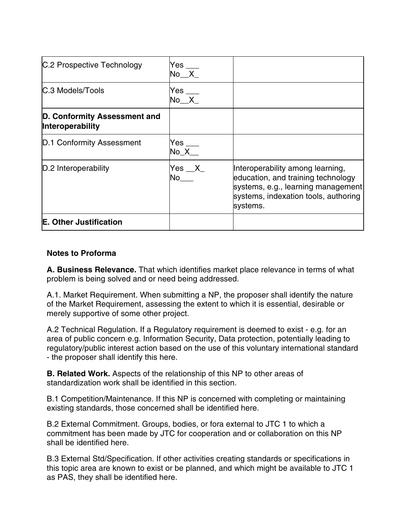| C.2 Prospective Technology                       | Yes ___<br>$No$ $X_$    |                                                                                                                                                                  |
|--------------------------------------------------|-------------------------|------------------------------------------------------------------------------------------------------------------------------------------------------------------|
| C.3 Models/Tools                                 | $Yes$ ___<br>No X       |                                                                                                                                                                  |
| D. Conformity Assessment and<br>Interoperability |                         |                                                                                                                                                                  |
| D.1 Conformity Assessment                        | Yes ___<br>No X         |                                                                                                                                                                  |
| D.2 Interoperability                             | $Yes$ $X_$<br><b>No</b> | Interoperability among learning,<br>education, and training technology<br>systems, e.g., learning management<br>systems, indexation tools, authoring<br>systems. |
| E. Other Justification                           |                         |                                                                                                                                                                  |

# **Notes to Proforma**

**A. Business Relevance.** That which identifies market place relevance in terms of what problem is being solved and or need being addressed.

A.1. Market Requirement. When submitting a NP, the proposer shall identify the nature of the Market Requirement, assessing the extent to which it is essential, desirable or merely supportive of some other project.

A.2 Technical Regulation. If a Regulatory requirement is deemed to exist - e.g. for an area of public concern e.g. Information Security, Data protection, potentially leading to regulatory/public interest action based on the use of this voluntary international standard - the proposer shall identify this here.

**B. Related Work.** Aspects of the relationship of this NP to other areas of standardization work shall be identified in this section.

B.1 Competition/Maintenance. If this NP is concerned with completing or maintaining existing standards, those concerned shall be identified here.

B.2 External Commitment. Groups, bodies, or fora external to JTC 1 to which a commitment has been made by JTC for cooperation and or collaboration on this NP shall be identified here.

B.3 External Std/Specification. If other activities creating standards or specifications in this topic area are known to exist or be planned, and which might be available to JTC 1 as PAS, they shall be identified here.